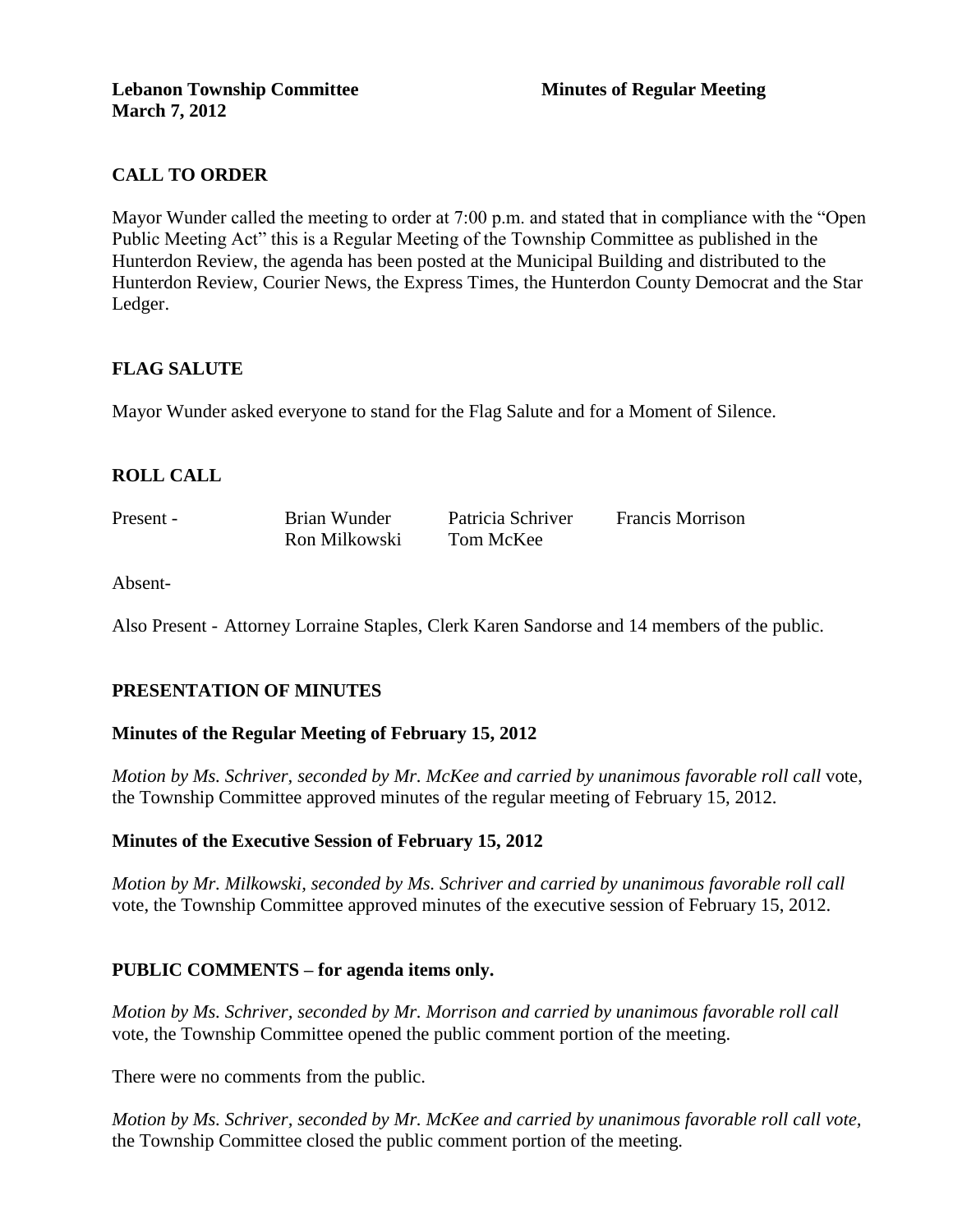# **CALL TO ORDER**

Mayor Wunder called the meeting to order at 7:00 p.m. and stated that in compliance with the "Open Public Meeting Act" this is a Regular Meeting of the Township Committee as published in the Hunterdon Review, the agenda has been posted at the Municipal Building and distributed to the Hunterdon Review, Courier News, the Express Times, the Hunterdon County Democrat and the Star Ledger.

# **FLAG SALUTE**

Mayor Wunder asked everyone to stand for the Flag Salute and for a Moment of Silence.

# **ROLL CALL**

Present - Brian Wunder Patricia Schriver Francis Morrison Ron Milkowski Tom McKee

Absent-

Also Present - Attorney Lorraine Staples, Clerk Karen Sandorse and 14 members of the public.

# **PRESENTATION OF MINUTES**

#### **Minutes of the Regular Meeting of February 15, 2012**

*Motion by Ms. Schriver, seconded by Mr. McKee and carried by unanimous favorable roll call* vote, the Township Committee approved minutes of the regular meeting of February 15, 2012.

#### **Minutes of the Executive Session of February 15, 2012**

*Motion by Mr. Milkowski, seconded by Ms. Schriver and carried by unanimous favorable roll call*  vote, the Township Committee approved minutes of the executive session of February 15, 2012.

#### **PUBLIC COMMENTS – for agenda items only.**

*Motion by Ms. Schriver, seconded by Mr. Morrison and carried by unanimous favorable roll call*  vote, the Township Committee opened the public comment portion of the meeting.

There were no comments from the public.

*Motion by Ms. Schriver, seconded by Mr. McKee and carried by unanimous favorable roll call vote,* the Township Committee closed the public comment portion of the meeting.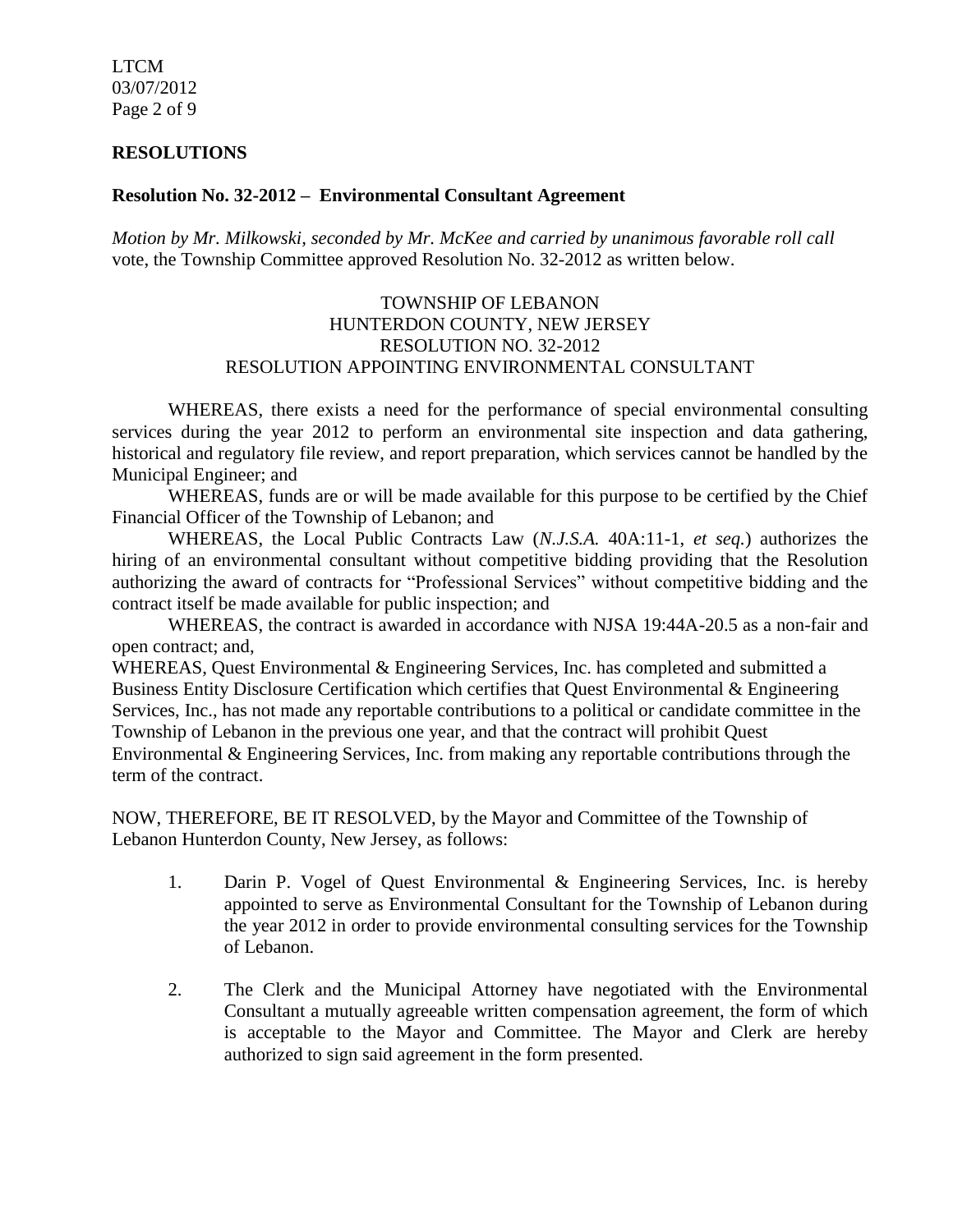LTCM 03/07/2012 Page 2 of 9

#### **RESOLUTIONS**

#### **Resolution No. 32-2012 – Environmental Consultant Agreement**

*Motion by Mr. Milkowski, seconded by Mr. McKee and carried by unanimous favorable roll call*  vote, the Township Committee approved Resolution No. 32-2012 as written below.

#### TOWNSHIP OF LEBANON HUNTERDON COUNTY, NEW JERSEY RESOLUTION NO. 32-2012 RESOLUTION APPOINTING ENVIRONMENTAL CONSULTANT

WHEREAS, there exists a need for the performance of special environmental consulting services during the year 2012 to perform an environmental site inspection and data gathering, historical and regulatory file review, and report preparation, which services cannot be handled by the Municipal Engineer; and

WHEREAS, funds are or will be made available for this purpose to be certified by the Chief Financial Officer of the Township of Lebanon; and

WHEREAS, the Local Public Contracts Law (*N.J.S.A.* 40A:11-1, *et seq.*) authorizes the hiring of an environmental consultant without competitive bidding providing that the Resolution authorizing the award of contracts for "Professional Services" without competitive bidding and the contract itself be made available for public inspection; and

WHEREAS, the contract is awarded in accordance with NJSA 19:44A-20.5 as a non-fair and open contract; and,

WHEREAS, Quest Environmental & Engineering Services, Inc. has completed and submitted a Business Entity Disclosure Certification which certifies that Quest Environmental & Engineering Services, Inc., has not made any reportable contributions to a political or candidate committee in the Township of Lebanon in the previous one year, and that the contract will prohibit Quest Environmental & Engineering Services, Inc. from making any reportable contributions through the term of the contract.

NOW, THEREFORE, BE IT RESOLVED, by the Mayor and Committee of the Township of Lebanon Hunterdon County, New Jersey, as follows:

- 1. Darin P. Vogel of Quest Environmental & Engineering Services, Inc. is hereby appointed to serve as Environmental Consultant for the Township of Lebanon during the year 2012 in order to provide environmental consulting services for the Township of Lebanon.
- 2. The Clerk and the Municipal Attorney have negotiated with the Environmental Consultant a mutually agreeable written compensation agreement, the form of which is acceptable to the Mayor and Committee. The Mayor and Clerk are hereby authorized to sign said agreement in the form presented.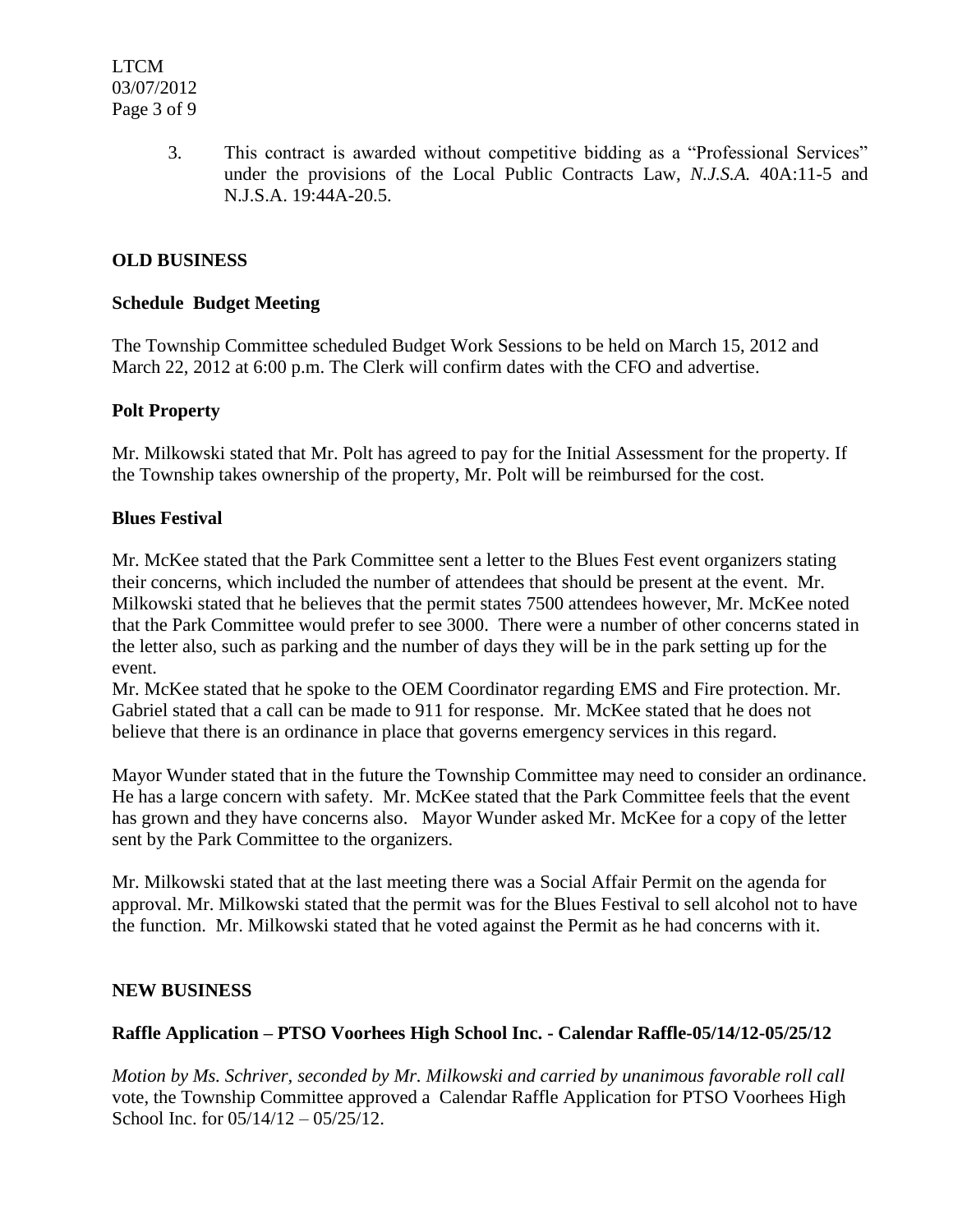3. This contract is awarded without competitive bidding as a "Professional Services" under the provisions of the Local Public Contracts Law, *N.J.S.A.* 40A:11-5 and N.J.S.A. 19:44A-20.5.

# **OLD BUSINESS**

#### **Schedule Budget Meeting**

The Township Committee scheduled Budget Work Sessions to be held on March 15, 2012 and March 22, 2012 at 6:00 p.m. The Clerk will confirm dates with the CFO and advertise.

#### **Polt Property**

Mr. Milkowski stated that Mr. Polt has agreed to pay for the Initial Assessment for the property. If the Township takes ownership of the property, Mr. Polt will be reimbursed for the cost.

#### **Blues Festival**

Mr. McKee stated that the Park Committee sent a letter to the Blues Fest event organizers stating their concerns, which included the number of attendees that should be present at the event. Mr. Milkowski stated that he believes that the permit states 7500 attendees however, Mr. McKee noted that the Park Committee would prefer to see 3000. There were a number of other concerns stated in the letter also, such as parking and the number of days they will be in the park setting up for the event.

Mr. McKee stated that he spoke to the OEM Coordinator regarding EMS and Fire protection. Mr. Gabriel stated that a call can be made to 911 for response. Mr. McKee stated that he does not believe that there is an ordinance in place that governs emergency services in this regard.

Mayor Wunder stated that in the future the Township Committee may need to consider an ordinance. He has a large concern with safety. Mr. McKee stated that the Park Committee feels that the event has grown and they have concerns also. Mayor Wunder asked Mr. McKee for a copy of the letter sent by the Park Committee to the organizers.

Mr. Milkowski stated that at the last meeting there was a Social Affair Permit on the agenda for approval. Mr. Milkowski stated that the permit was for the Blues Festival to sell alcohol not to have the function. Mr. Milkowski stated that he voted against the Permit as he had concerns with it.

#### **NEW BUSINESS**

# **Raffle Application – PTSO Voorhees High School Inc. - Calendar Raffle-05/14/12-05/25/12**

*Motion by Ms. Schriver, seconded by Mr. Milkowski and carried by unanimous favorable roll call*  vote, the Township Committee approved a Calendar Raffle Application for PTSO Voorhees High School Inc. for  $05/14/12 - 05/25/12$ .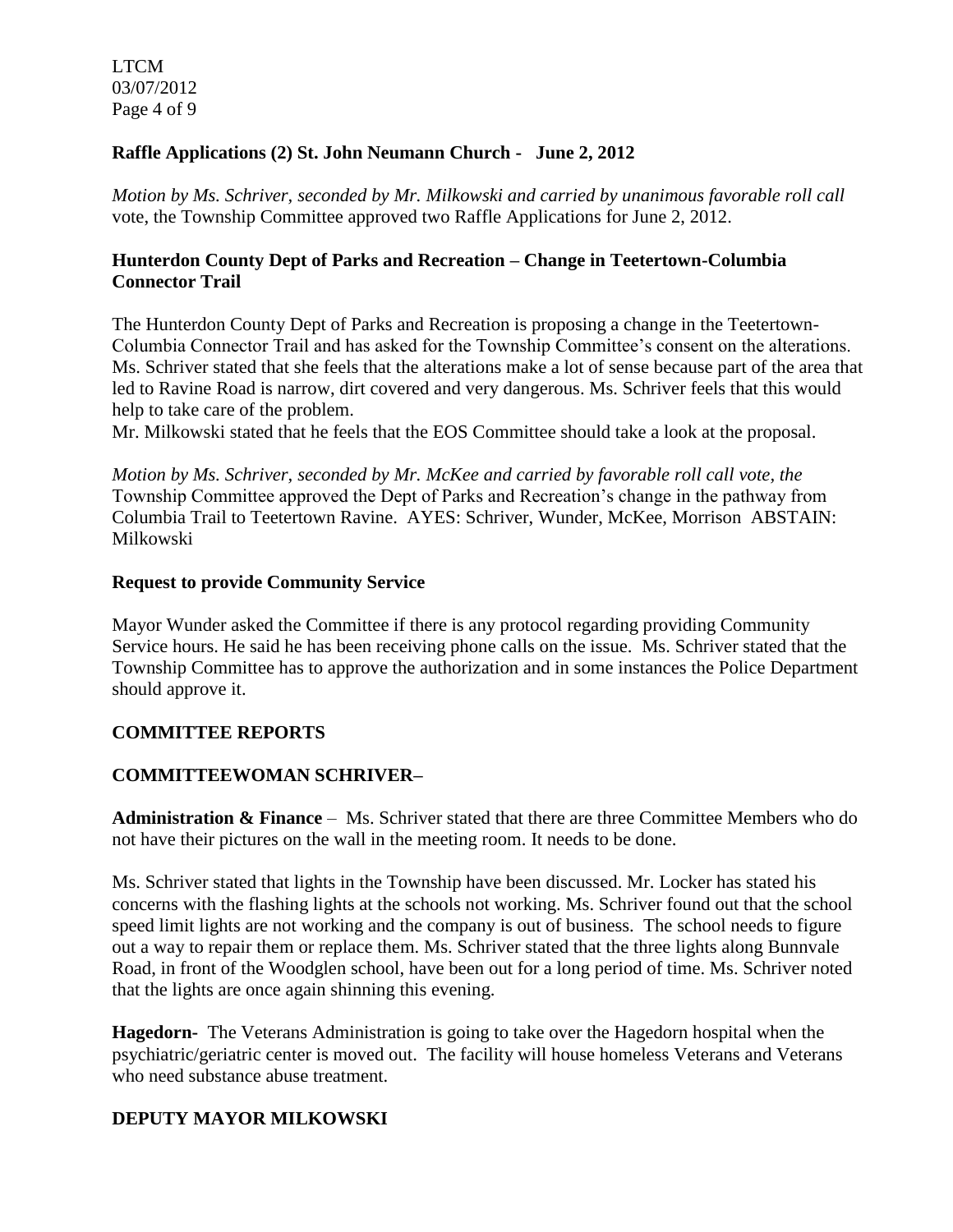LTCM 03/07/2012 Page 4 of 9

# **Raffle Applications (2) St. John Neumann Church - June 2, 2012**

*Motion by Ms. Schriver, seconded by Mr. Milkowski and carried by unanimous favorable roll call*  vote, the Township Committee approved two Raffle Applications for June 2, 2012.

#### **Hunterdon County Dept of Parks and Recreation – Change in Teetertown-Columbia Connector Trail**

The Hunterdon County Dept of Parks and Recreation is proposing a change in the Teetertown-Columbia Connector Trail and has asked for the Township Committee's consent on the alterations. Ms. Schriver stated that she feels that the alterations make a lot of sense because part of the area that led to Ravine Road is narrow, dirt covered and very dangerous. Ms. Schriver feels that this would help to take care of the problem.

Mr. Milkowski stated that he feels that the EOS Committee should take a look at the proposal.

*Motion by Ms. Schriver, seconded by Mr. McKee and carried by favorable roll call vote, the* Township Committee approved the Dept of Parks and Recreation's change in the pathway from Columbia Trail to Teetertown Ravine. AYES: Schriver, Wunder, McKee, Morrison ABSTAIN: Milkowski

#### **Request to provide Community Service**

Mayor Wunder asked the Committee if there is any protocol regarding providing Community Service hours. He said he has been receiving phone calls on the issue. Ms. Schriver stated that the Township Committee has to approve the authorization and in some instances the Police Department should approve it.

# **COMMITTEE REPORTS**

# **COMMITTEEWOMAN SCHRIVER–**

**Administration & Finance** – Ms. Schriver stated that there are three Committee Members who do not have their pictures on the wall in the meeting room. It needs to be done.

Ms. Schriver stated that lights in the Township have been discussed. Mr. Locker has stated his concerns with the flashing lights at the schools not working. Ms. Schriver found out that the school speed limit lights are not working and the company is out of business. The school needs to figure out a way to repair them or replace them. Ms. Schriver stated that the three lights along Bunnvale Road, in front of the Woodglen school, have been out for a long period of time. Ms. Schriver noted that the lights are once again shinning this evening.

**Hagedorn-** The Veterans Administration is going to take over the Hagedorn hospital when the psychiatric/geriatric center is moved out. The facility will house homeless Veterans and Veterans who need substance abuse treatment.

# **DEPUTY MAYOR MILKOWSKI**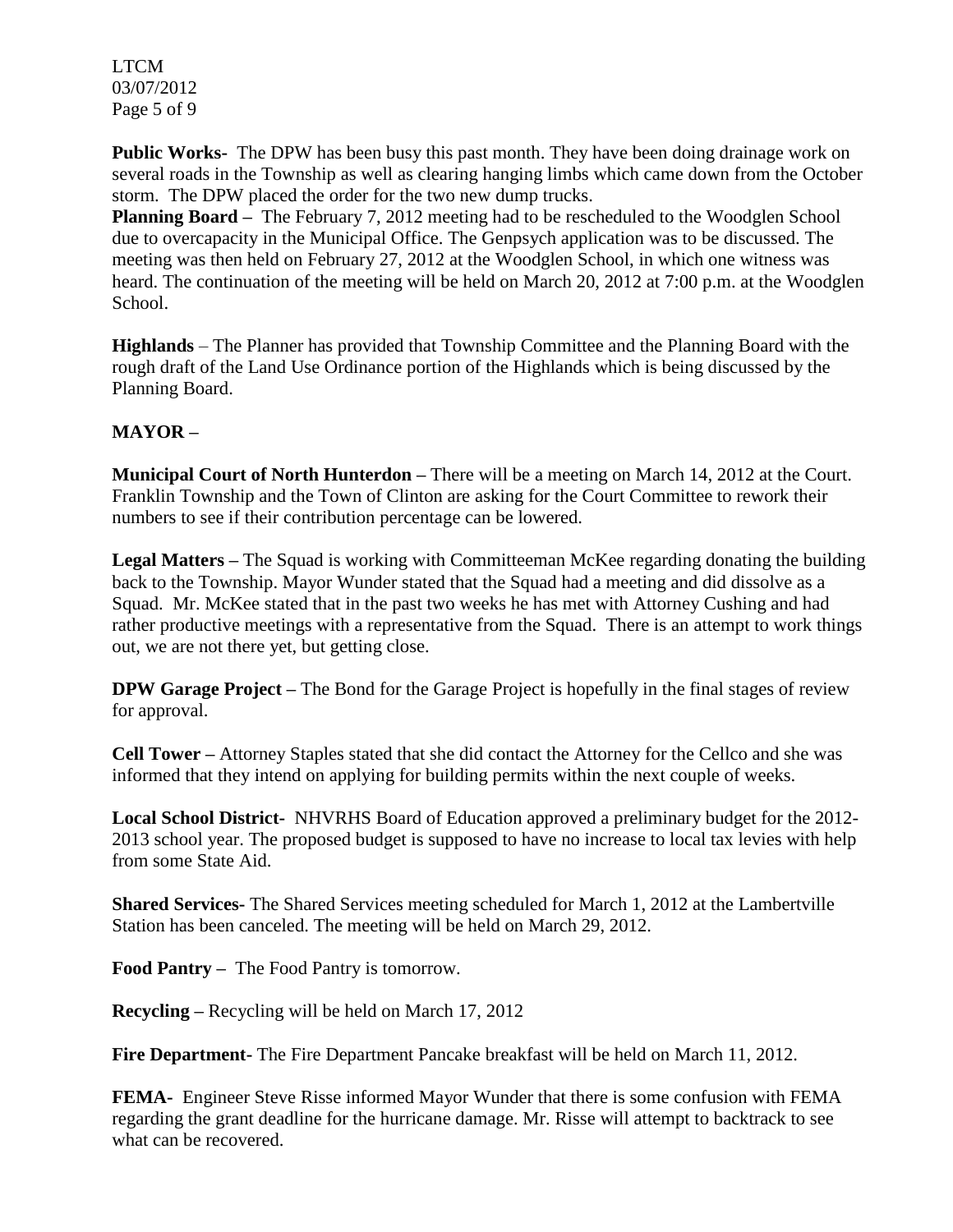LTCM 03/07/2012 Page 5 of 9

**Public Works-** The DPW has been busy this past month. They have been doing drainage work on several roads in the Township as well as clearing hanging limbs which came down from the October storm. The DPW placed the order for the two new dump trucks.

**Planning Board –** The February 7, 2012 meeting had to be rescheduled to the Woodglen School due to overcapacity in the Municipal Office. The Genpsych application was to be discussed. The meeting was then held on February 27, 2012 at the Woodglen School, in which one witness was heard. The continuation of the meeting will be held on March 20, 2012 at 7:00 p.m. at the Woodglen School.

**Highlands** – The Planner has provided that Township Committee and the Planning Board with the rough draft of the Land Use Ordinance portion of the Highlands which is being discussed by the Planning Board.

# **MAYOR –**

**Municipal Court of North Hunterdon –** There will be a meeting on March 14, 2012 at the Court. Franklin Township and the Town of Clinton are asking for the Court Committee to rework their numbers to see if their contribution percentage can be lowered.

**Legal Matters –** The Squad is working with Committeeman McKee regarding donating the building back to the Township. Mayor Wunder stated that the Squad had a meeting and did dissolve as a Squad. Mr. McKee stated that in the past two weeks he has met with Attorney Cushing and had rather productive meetings with a representative from the Squad. There is an attempt to work things out, we are not there yet, but getting close.

**DPW Garage Project** – The Bond for the Garage Project is hopefully in the final stages of review for approval.

**Cell Tower –** Attorney Staples stated that she did contact the Attorney for the Cellco and she was informed that they intend on applying for building permits within the next couple of weeks.

**Local School District-** NHVRHS Board of Education approved a preliminary budget for the 2012- 2013 school year. The proposed budget is supposed to have no increase to local tax levies with help from some State Aid.

**Shared Services-** The Shared Services meeting scheduled for March 1, 2012 at the Lambertville Station has been canceled. The meeting will be held on March 29, 2012.

**Food Pantry –** The Food Pantry is tomorrow.

**Recycling –** Recycling will be held on March 17, 2012

**Fire Department-** The Fire Department Pancake breakfast will be held on March 11, 2012.

**FEMA-** Engineer Steve Risse informed Mayor Wunder that there is some confusion with FEMA regarding the grant deadline for the hurricane damage. Mr. Risse will attempt to backtrack to see what can be recovered.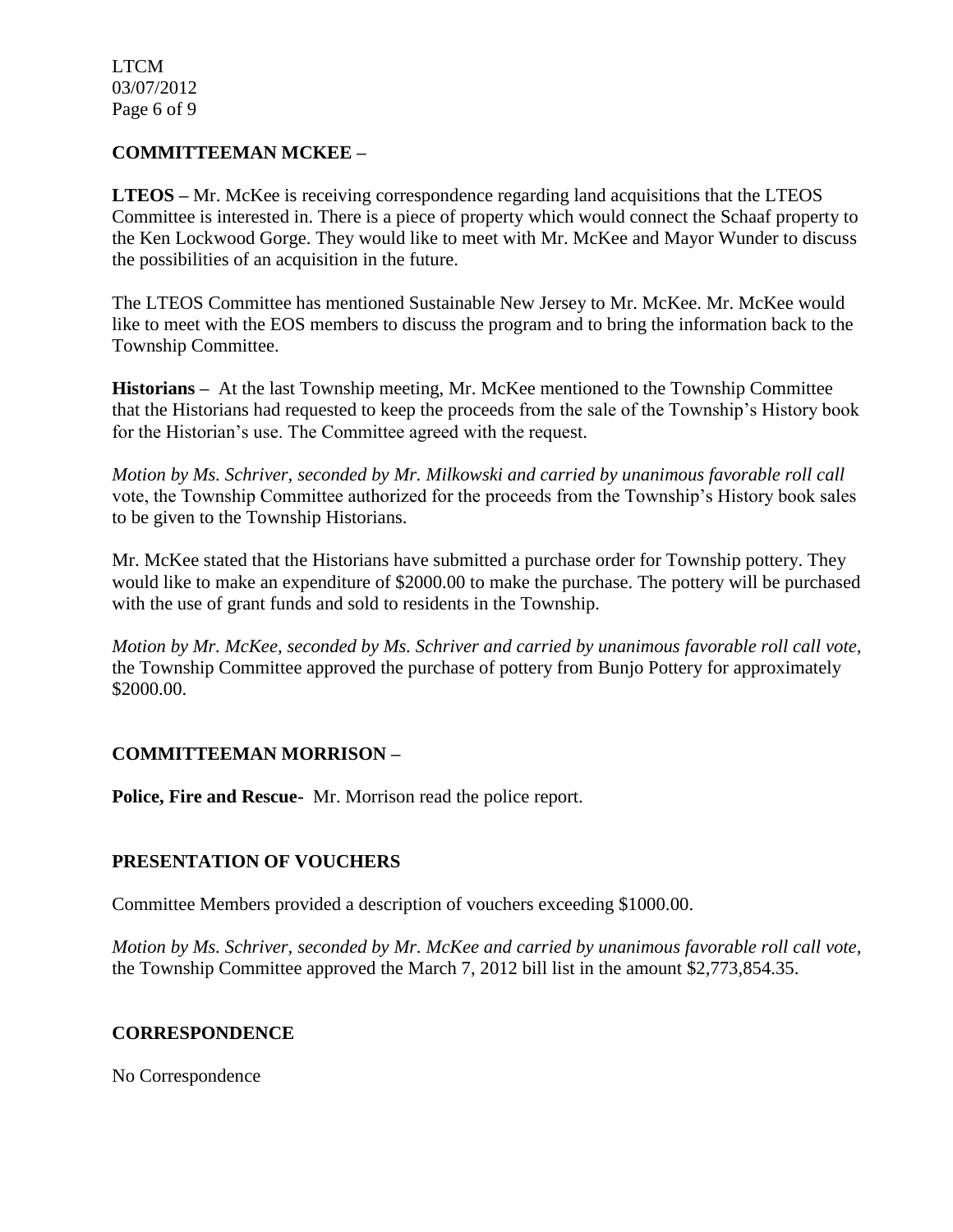LTCM 03/07/2012 Page 6 of 9

# **COMMITTEEMAN MCKEE –**

**LTEOS –** Mr. McKee is receiving correspondence regarding land acquisitions that the LTEOS Committee is interested in. There is a piece of property which would connect the Schaaf property to the Ken Lockwood Gorge. They would like to meet with Mr. McKee and Mayor Wunder to discuss the possibilities of an acquisition in the future.

The LTEOS Committee has mentioned Sustainable New Jersey to Mr. McKee. Mr. McKee would like to meet with the EOS members to discuss the program and to bring the information back to the Township Committee.

**Historians –** At the last Township meeting, Mr. McKee mentioned to the Township Committee that the Historians had requested to keep the proceeds from the sale of the Township's History book for the Historian's use. The Committee agreed with the request.

*Motion by Ms. Schriver, seconded by Mr. Milkowski and carried by unanimous favorable roll call*  vote, the Township Committee authorized for the proceeds from the Township's History book sales to be given to the Township Historians.

Mr. McKee stated that the Historians have submitted a purchase order for Township pottery. They would like to make an expenditure of \$2000.00 to make the purchase. The pottery will be purchased with the use of grant funds and sold to residents in the Township.

*Motion by Mr. McKee, seconded by Ms. Schriver and carried by unanimous favorable roll call vote,* the Township Committee approved the purchase of pottery from Bunjo Pottery for approximately \$2000.00.

# **COMMITTEEMAN MORRISON –**

**Police, Fire and Rescue-** Mr. Morrison read the police report.

# **PRESENTATION OF VOUCHERS**

Committee Members provided a description of vouchers exceeding \$1000.00.

*Motion by Ms. Schriver, seconded by Mr. McKee and carried by unanimous favorable roll call vote,* the Township Committee approved the March 7, 2012 bill list in the amount \$2,773,854.35.

# **CORRESPONDENCE**

No Correspondence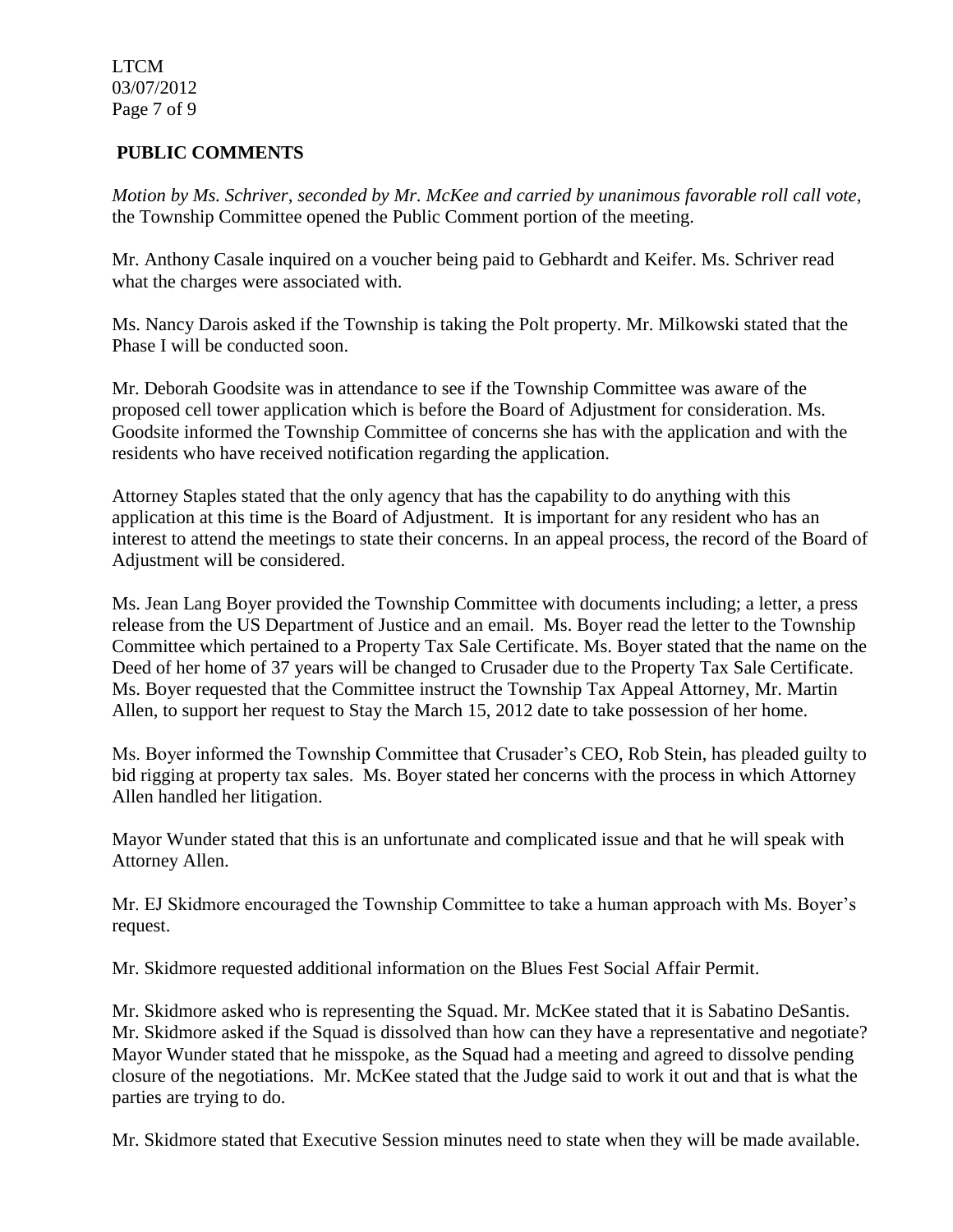LTCM 03/07/2012 Page 7 of 9

# **PUBLIC COMMENTS**

*Motion by Ms. Schriver, seconded by Mr. McKee and carried by unanimous favorable roll call vote,* the Township Committee opened the Public Comment portion of the meeting.

Mr. Anthony Casale inquired on a voucher being paid to Gebhardt and Keifer. Ms. Schriver read what the charges were associated with.

Ms. Nancy Darois asked if the Township is taking the Polt property. Mr. Milkowski stated that the Phase I will be conducted soon.

Mr. Deborah Goodsite was in attendance to see if the Township Committee was aware of the proposed cell tower application which is before the Board of Adjustment for consideration. Ms. Goodsite informed the Township Committee of concerns she has with the application and with the residents who have received notification regarding the application.

Attorney Staples stated that the only agency that has the capability to do anything with this application at this time is the Board of Adjustment. It is important for any resident who has an interest to attend the meetings to state their concerns. In an appeal process, the record of the Board of Adjustment will be considered.

Ms. Jean Lang Boyer provided the Township Committee with documents including; a letter, a press release from the US Department of Justice and an email. Ms. Boyer read the letter to the Township Committee which pertained to a Property Tax Sale Certificate. Ms. Boyer stated that the name on the Deed of her home of 37 years will be changed to Crusader due to the Property Tax Sale Certificate. Ms. Boyer requested that the Committee instruct the Township Tax Appeal Attorney, Mr. Martin Allen, to support her request to Stay the March 15, 2012 date to take possession of her home.

Ms. Boyer informed the Township Committee that Crusader's CEO, Rob Stein, has pleaded guilty to bid rigging at property tax sales. Ms. Boyer stated her concerns with the process in which Attorney Allen handled her litigation.

Mayor Wunder stated that this is an unfortunate and complicated issue and that he will speak with Attorney Allen.

Mr. EJ Skidmore encouraged the Township Committee to take a human approach with Ms. Boyer's request.

Mr. Skidmore requested additional information on the Blues Fest Social Affair Permit.

Mr. Skidmore asked who is representing the Squad. Mr. McKee stated that it is Sabatino DeSantis. Mr. Skidmore asked if the Squad is dissolved than how can they have a representative and negotiate? Mayor Wunder stated that he misspoke, as the Squad had a meeting and agreed to dissolve pending closure of the negotiations. Mr. McKee stated that the Judge said to work it out and that is what the parties are trying to do.

Mr. Skidmore stated that Executive Session minutes need to state when they will be made available.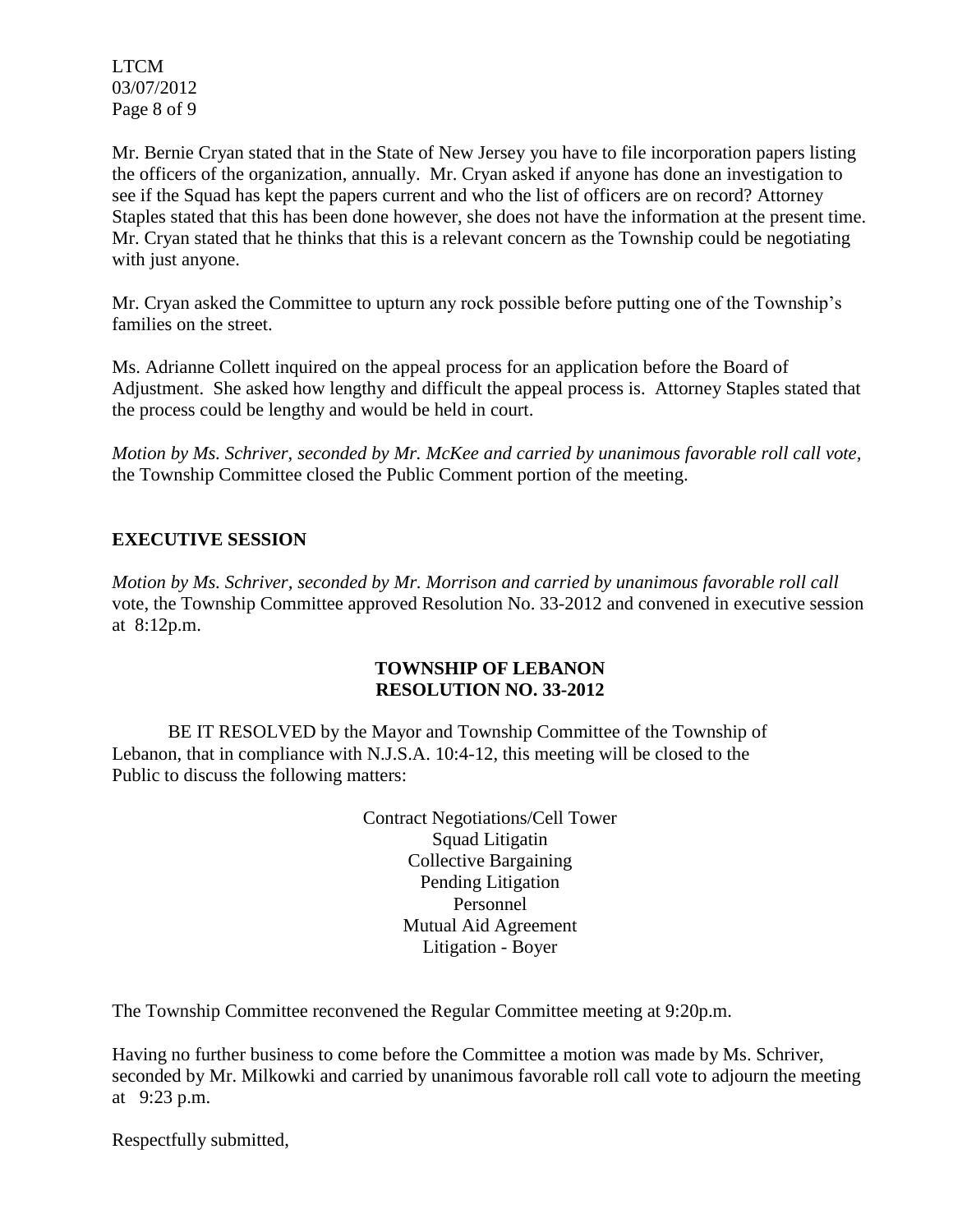LTCM 03/07/2012 Page 8 of 9

Mr. Bernie Cryan stated that in the State of New Jersey you have to file incorporation papers listing the officers of the organization, annually. Mr. Cryan asked if anyone has done an investigation to see if the Squad has kept the papers current and who the list of officers are on record? Attorney Staples stated that this has been done however, she does not have the information at the present time. Mr. Cryan stated that he thinks that this is a relevant concern as the Township could be negotiating with just anyone.

Mr. Cryan asked the Committee to upturn any rock possible before putting one of the Township's families on the street.

Ms. Adrianne Collett inquired on the appeal process for an application before the Board of Adjustment. She asked how lengthy and difficult the appeal process is. Attorney Staples stated that the process could be lengthy and would be held in court.

*Motion by Ms. Schriver, seconded by Mr. McKee and carried by unanimous favorable roll call vote,* the Township Committee closed the Public Comment portion of the meeting.

# **EXECUTIVE SESSION**

*Motion by Ms. Schriver, seconded by Mr. Morrison and carried by unanimous favorable roll call*  vote, the Township Committee approved Resolution No. 33-2012 and convened in executive session at 8:12p.m.

#### **TOWNSHIP OF LEBANON RESOLUTION NO. 33-2012**

BE IT RESOLVED by the Mayor and Township Committee of the Township of Lebanon, that in compliance with N.J.S.A. 10:4-12, this meeting will be closed to the Public to discuss the following matters:

> Contract Negotiations/Cell Tower Squad Litigatin Collective Bargaining Pending Litigation Personnel Mutual Aid Agreement Litigation - Boyer

The Township Committee reconvened the Regular Committee meeting at 9:20p.m.

Having no further business to come before the Committee a motion was made by Ms. Schriver, seconded by Mr. Milkowki and carried by unanimous favorable roll call vote to adjourn the meeting at 9:23 p.m.

Respectfully submitted,